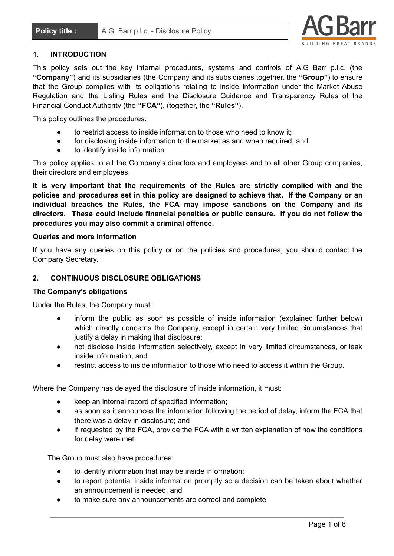

# **1. INTRODUCTION**

This policy sets out the key internal procedures, systems and controls of A.G Barr p.l.c. (the **"Company"**) and its subsidiaries (the Company and its subsidiaries together, the **"Group"**) to ensure that the Group complies with its obligations relating to inside information under the Market Abuse Regulation and the Listing Rules and the Disclosure Guidance and Transparency Rules of the Financial Conduct Authority (the **"FCA"**), (together, the **"Rules"**).

This policy outlines the procedures:

- to restrict access to inside information to those who need to know it;
- for disclosing inside information to the market as and when required; and
- to identify inside information.

This policy applies to all the Company's directors and employees and to all other Group companies, their directors and employees.

**It is very important that the requirements of the Rules are strictly complied with and the policies and procedures set in this policy are designed to achieve that. If the Company or an individual breaches the Rules, the FCA may impose sanctions on the Company and its directors. These could include financial penalties or public censure. If you do not follow the procedures you may also commit a criminal offence.**

### **Queries and more information**

If you have any queries on this policy or on the policies and procedures, you should contact the Company Secretary.

# **2. CONTINUOUS DISCLOSURE OBLIGATIONS**

#### **The Company's obligations**

Under the Rules, the Company must:

- inform the public as soon as possible of inside information (explained further below) which directly concerns the Company, except in certain very limited circumstances that justify a delay in making that disclosure:
- not disclose inside information selectively, except in very limited circumstances, or leak inside information; and
- restrict access to inside information to those who need to access it within the Group.

Where the Company has delayed the disclosure of inside information, it must:

- keep an internal record of specified information;
- as soon as it announces the information following the period of delay, inform the FCA that there was a delay in disclosure; and
- if requested by the FCA, provide the FCA with a written explanation of how the conditions for delay were met.

The Group must also have procedures:

- to identify information that may be inside information;
- to report potential inside information promptly so a decision can be taken about whether an announcement is needed; and
- to make sure any announcements are correct and complete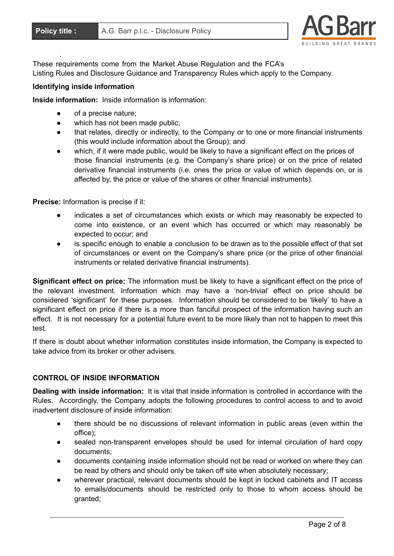.



These requirements come from the Market Abuse Regulation and the FCA's Listing Rules and Disclosure Guidance and Transparency Rules which apply to the Company.

## **Identifying inside information**

**Inside information:** Inside information is information:

- of a precise nature:
- which has not been made public;
- that relates, directly or indirectly, to the Company or to one or more financial instruments (this would include information about the Group); and
- which, if it were made public, would be likely to have a significant effect on the prices of those financial instruments (e.g. the Company's share price) or on the price of related derivative financial instruments (i.e. ones the price or value of which depends on, or is affected by, the price or value of the shares or other financial instruments).

**Precise:** Information is precise if it:

- indicates a set of circumstances which exists or which may reasonably be expected to come into existence, or an event which has occurred or which may reasonably be expected to occur; and
- is specific enough to enable a conclusion to be drawn as to the possible effect of that set of circumstances or event on the Company's share price (or the price of other financial instruments or related derivative financial instruments).

**Significant effect on price:** The information must be likely to have a significant effect on the price of the relevant investment. Information which may have a 'non-trivial' effect on price should be considered 'significant' for these purposes. Information should be considered to be 'likely' to have a significant effect on price if there is a more than fanciful prospect of the information having such an effect. It is not necessary for a potential future event to be more likely than not to happen to meet this test.

If there is doubt about whether information constitutes inside information, the Company is expected to take advice from its broker or other advisers.

# **CONTROL OF INSIDE INFORMATION**

**Dealing with inside information:** It is vital that inside information is controlled in accordance with the Rules. Accordingly, the Company adopts the following procedures to control access to and to avoid inadvertent disclosure of inside information:

- there should be no discussions of relevant information in public areas (even within the office);
- sealed non-transparent envelopes should be used for internal circulation of hard copy documents;
- documents containing inside information should not be read or worked on where they can be read by others and should only be taken off site when absolutely necessary;
- wherever practical, relevant documents should be kept in locked cabinets and IT access to emails/documents should be restricted only to those to whom access should be granted;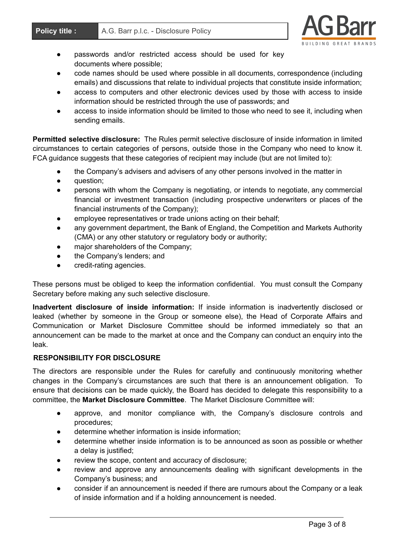

- passwords and/or restricted access should be used for key documents where possible;
- code names should be used where possible in all documents, correspondence (including emails) and discussions that relate to individual projects that constitute inside information;
- access to computers and other electronic devices used by those with access to inside information should be restricted through the use of passwords; and
- access to inside information should be limited to those who need to see it, including when sending emails.

**Permitted selective disclosure:** The Rules permit selective disclosure of inside information in limited circumstances to certain categories of persons, outside those in the Company who need to know it. FCA guidance suggests that these categories of recipient may include (but are not limited to):

- the Company's advisers and advisers of any other persons involved in the matter in
- question;
- persons with whom the Company is negotiating, or intends to negotiate, any commercial financial or investment transaction (including prospective underwriters or places of the financial instruments of the Company);
- employee representatives or trade unions acting on their behalf;
- any government department, the Bank of England, the Competition and Markets Authority (CMA) or any other statutory or regulatory body or authority;
- major shareholders of the Company;
- the Company's lenders; and
- credit-rating agencies.

These persons must be obliged to keep the information confidential. You must consult the Company Secretary before making any such selective disclosure.

**Inadvertent disclosure of inside information:** If inside information is inadvertently disclosed or leaked (whether by someone in the Group or someone else), the Head of Corporate Affairs and Communication or Market Disclosure Committee should be informed immediately so that an announcement can be made to the market at once and the Company can conduct an enquiry into the leak.

# **RESPONSIBILITY FOR DISCLOSURE**

The directors are responsible under the Rules for carefully and continuously monitoring whether changes in the Company's circumstances are such that there is an announcement obligation. To ensure that decisions can be made quickly, the Board has decided to delegate this responsibility to a committee, the **Market Disclosure Committee**. The Market Disclosure Committee will:

- approve, and monitor compliance with, the Company's disclosure controls and procedures;
- determine whether information is inside information:
- determine whether inside information is to be announced as soon as possible or whether a delay is justified;
- review the scope, content and accuracy of disclosure;
- review and approve any announcements dealing with significant developments in the Company's business; and
- consider if an announcement is needed if there are rumours about the Company or a leak of inside information and if a holding announcement is needed.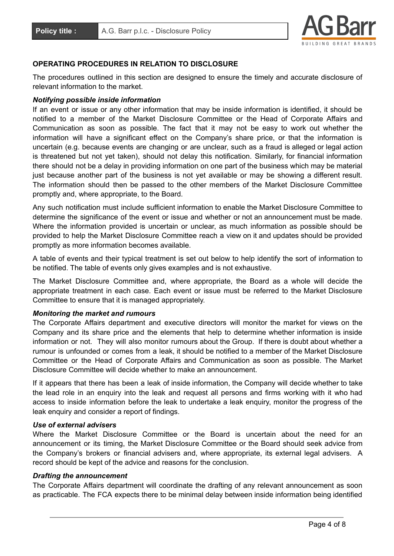

### **OPERATING PROCEDURES IN RELATION TO DISCLOSURE**

The procedures outlined in this section are designed to ensure the timely and accurate disclosure of relevant information to the market.

# *Notifying possible inside information*

If an event or issue or any other information that may be inside information is identified, it should be notified to a member of the Market Disclosure Committee or the Head of Corporate Affairs and Communication as soon as possible. The fact that it may not be easy to work out whether the information will have a significant effect on the Company's share price, or that the information is uncertain (e.g. because events are changing or are unclear, such as a fraud is alleged or legal action is threatened but not yet taken), should not delay this notification. Similarly, for financial information there should not be a delay in providing information on one part of the business which may be material just because another part of the business is not yet available or may be showing a different result. The information should then be passed to the other members of the Market Disclosure Committee promptly and, where appropriate, to the Board.

Any such notification must include sufficient information to enable the Market Disclosure Committee to determine the significance of the event or issue and whether or not an announcement must be made. Where the information provided is uncertain or unclear, as much information as possible should be provided to help the Market Disclosure Committee reach a view on it and updates should be provided promptly as more information becomes available.

A table of events and their typical treatment is set out below to help identify the sort of information to be notified. The table of events only gives examples and is not exhaustive.

The Market Disclosure Committee and, where appropriate, the Board as a whole will decide the appropriate treatment in each case. Each event or issue must be referred to the Market Disclosure Committee to ensure that it is managed appropriately.

#### *Monitoring the market and rumours*

The Corporate Affairs department and executive directors will monitor the market for views on the Company and its share price and the elements that help to determine whether information is inside information or not. They will also monitor rumours about the Group. If there is doubt about whether a rumour is unfounded or comes from a leak, it should be notified to a member of the Market Disclosure Committee or the Head of Corporate Affairs and Communication as soon as possible. The Market Disclosure Committee will decide whether to make an announcement.

If it appears that there has been a leak of inside information, the Company will decide whether to take the lead role in an enquiry into the leak and request all persons and firms working with it who had access to inside information before the leak to undertake a leak enquiry, monitor the progress of the leak enquiry and consider a report of findings.

#### *Use of external advisers*

Where the Market Disclosure Committee or the Board is uncertain about the need for an announcement or its timing, the Market Disclosure Committee or the Board should seek advice from the Company's brokers or financial advisers and, where appropriate, its external legal advisers. A record should be kept of the advice and reasons for the conclusion.

#### *Drafting the announcement*

The Corporate Affairs department will coordinate the drafting of any relevant announcement as soon as practicable. The FCA expects there to be minimal delay between inside information being identified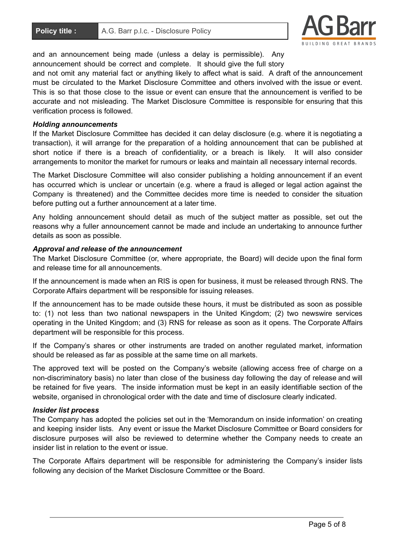

and an announcement being made (unless a delay is permissible). Any announcement should be correct and complete. It should give the full story

and not omit any material fact or anything likely to affect what is said. A draft of the announcement must be circulated to the Market Disclosure Committee and others involved with the issue or event. This is so that those close to the issue or event can ensure that the announcement is verified to be accurate and not misleading. The Market Disclosure Committee is responsible for ensuring that this verification process is followed.

#### *Holding announcements*

If the Market Disclosure Committee has decided it can delay disclosure (e.g. where it is negotiating a transaction), it will arrange for the preparation of a holding announcement that can be published at short notice if there is a breach of confidentiality, or a breach is likely. It will also consider arrangements to monitor the market for rumours or leaks and maintain all necessary internal records.

The Market Disclosure Committee will also consider publishing a holding announcement if an event has occurred which is unclear or uncertain (e.g. where a fraud is alleged or legal action against the Company is threatened) and the Committee decides more time is needed to consider the situation before putting out a further announcement at a later time.

Any holding announcement should detail as much of the subject matter as possible, set out the reasons why a fuller announcement cannot be made and include an undertaking to announce further details as soon as possible.

#### *Approval and release of the announcement*

The Market Disclosure Committee (or, where appropriate, the Board) will decide upon the final form and release time for all announcements.

If the announcement is made when an RIS is open for business, it must be released through RNS. The Corporate Affairs department will be responsible for issuing releases.

If the announcement has to be made outside these hours, it must be distributed as soon as possible to: (1) not less than two national newspapers in the United Kingdom; (2) two newswire services operating in the United Kingdom; and (3) RNS for release as soon as it opens. The Corporate Affairs department will be responsible for this process.

If the Company's shares or other instruments are traded on another regulated market, information should be released as far as possible at the same time on all markets.

The approved text will be posted on the Company's website (allowing access free of charge on a non-discriminatory basis) no later than close of the business day following the day of release and will be retained for five years. The inside information must be kept in an easily identifiable section of the website, organised in chronological order with the date and time of disclosure clearly indicated.

#### *Insider list process*

The Company has adopted the policies set out in the 'Memorandum on inside information' on creating and keeping insider lists. Any event or issue the Market Disclosure Committee or Board considers for disclosure purposes will also be reviewed to determine whether the Company needs to create an insider list in relation to the event or issue.

The Corporate Affairs department will be responsible for administering the Company's insider lists following any decision of the Market Disclosure Committee or the Board.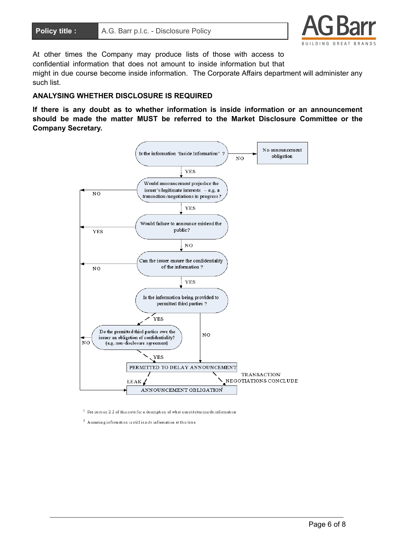

At other times the Company may produce lists of those with access to confidential information that does not amount to inside information but that might in due course become inside information. The Corporate Affairs department will administer any such list.

## **ANALYSING WHETHER DISCLOSURE IS REQUIRED**

**If there is any doubt as to whether information is inside information or an announcement should be made the matter MUST be referred to the Market Disclosure Committee or the Company Secretary.**



 $1$  See section 2.2 of this note for a description of what constitutes inside information

 $^2$  Assuming information is still inside information at this time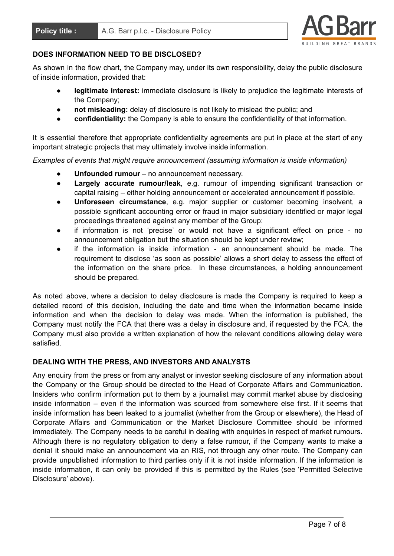

# **DOES INFORMATION NEED TO BE DISCLOSED?**

As shown in the flow chart, the Company may, under its own responsibility, delay the public disclosure of inside information, provided that:

- **legitimate interest:** immediate disclosure is likely to prejudice the legitimate interests of the Company;
- **not misleading:** delay of disclosure is not likely to mislead the public; and
- confidentiality: the Company is able to ensure the confidentiality of that information.

It is essential therefore that appropriate confidentiality agreements are put in place at the start of any important strategic projects that may ultimately involve inside information.

*Examples of events that might require announcement (assuming information is inside information)*

- **Unfounded rumour** no announcement necessary.
- **Largely accurate rumour/leak**, e.g. rumour of impending significant transaction or capital raising – either holding announcement or accelerated announcement if possible.
- **Unforeseen circumstance**, e.g. major supplier or customer becoming insolvent, a possible significant accounting error or fraud in major subsidiary identified or major legal proceedings threatened against any member of the Group:
- if information is not 'precise' or would not have a significant effect on price no announcement obligation but the situation should be kept under review;
- if the information is inside information an announcement should be made. The requirement to disclose 'as soon as possible' allows a short delay to assess the effect of the information on the share price. In these circumstances, a holding announcement should be prepared.

As noted above, where a decision to delay disclosure is made the Company is required to keep a detailed record of this decision, including the date and time when the information became inside information and when the decision to delay was made. When the information is published, the Company must notify the FCA that there was a delay in disclosure and, if requested by the FCA, the Company must also provide a written explanation of how the relevant conditions allowing delay were satisfied.

# **DEALING WITH THE PRESS, AND INVESTORS AND ANALYSTS**

Any enquiry from the press or from any analyst or investor seeking disclosure of any information about the Company or the Group should be directed to the Head of Corporate Affairs and Communication. Insiders who confirm information put to them by a journalist may commit market abuse by disclosing inside information – even if the information was sourced from somewhere else first. If it seems that inside information has been leaked to a journalist (whether from the Group or elsewhere), the Head of Corporate Affairs and Communication or the Market Disclosure Committee should be informed immediately. The Company needs to be careful in dealing with enquiries in respect of market rumours. Although there is no regulatory obligation to deny a false rumour, if the Company wants to make a denial it should make an announcement via an RIS, not through any other route. The Company can provide unpublished information to third parties only if it is not inside information. If the information is inside information, it can only be provided if this is permitted by the Rules (see 'Permitted Selective Disclosure' above).